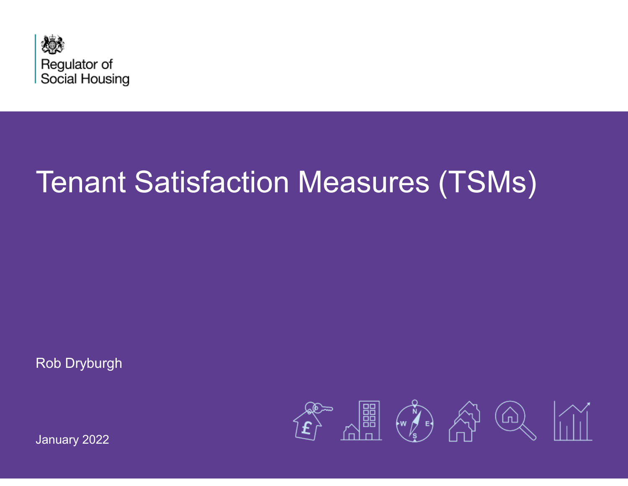

# Tenant Satisfaction Measures (TSMs)

Rob Dryburgh



January 2022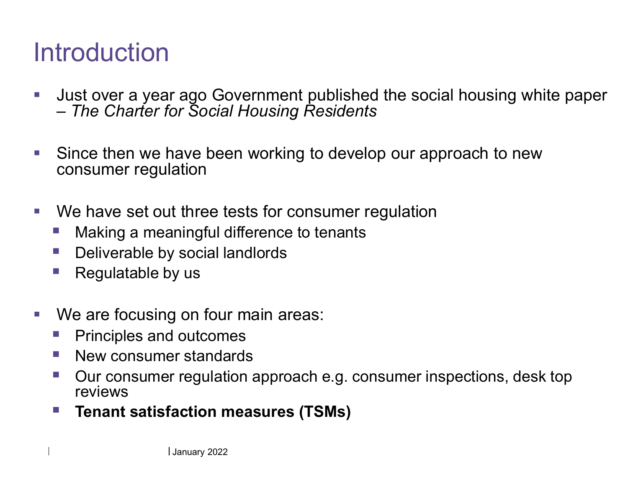## **Introduction**

- $\mathcal{L}_{\mathcal{A}}$  Just over a year ago Government published the social housing white paper –*The Charter for Social Housing Residents*
- $\mathcal{L}^{\mathcal{L}}$  Since then we have been working to develop our approach to new consumer regulation
- **We have set out three tests for consumer regulation** 
	- $\mathbb{R}^n$ Making a meaningful difference to tenants
	- $\mathbb{R}^n$ Deliverable by social landlords
	- $\mathcal{L}_{\mathcal{A}}$ Regulatable by us
- $\mathcal{L}_{\mathcal{A}}$ We are focusing on four main areas:
	- $\mathcal{L}_{\mathcal{A}}$ Principles and outcomes
	- $\mathcal{L}_{\mathcal{A}}$ New consumer standards
	- $\Box$  Our consumer regulation approach e.g. consumer inspections, desk top reviews
	- **Tenant satisfaction measures (TSMs)** F.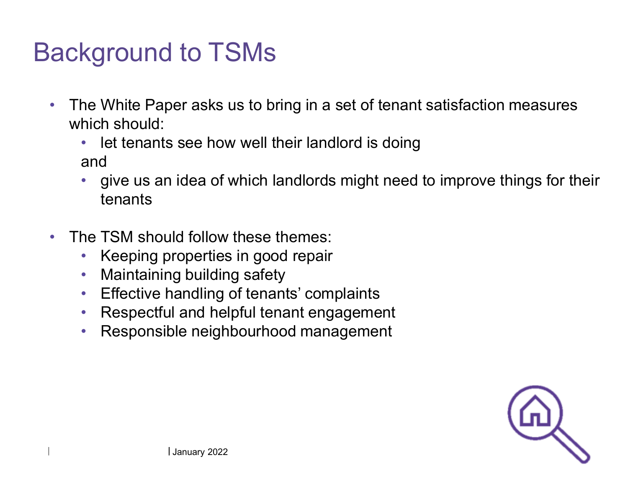## Background to TSMs

- $\bullet$  The White Paper asks us to bring in a set of tenant satisfaction measures which should:
	- let tenants see how well their landlord is doingand
	- give us an idea of which landlords might need to improve things for their •tenants
- $\bullet$  The TSM should follow these themes:
	- •Keeping properties in good repair
	- $\bullet$ Maintaining building safety
	- Effective handling of tenants' complaints $\bullet$
	- Respectful and helpful tenant engagement  $\bullet$
	- •Responsible neighbourhood management

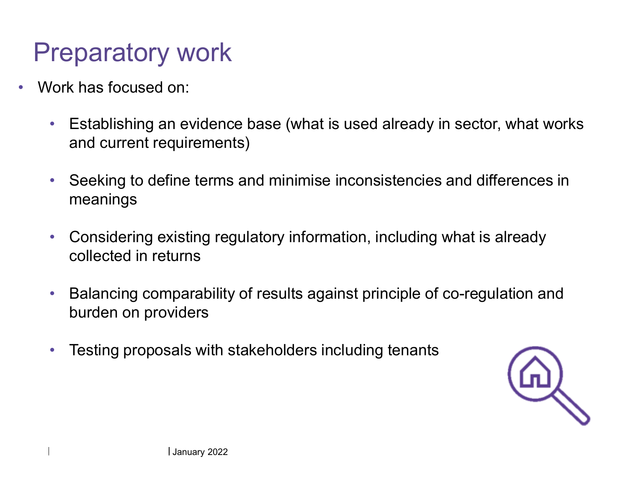### Preparatory work

- • Work has focused on:
	- $\bullet$  Establishing an evidence base (what is used already in sector, what works and current requirements)
	- $\bullet$  Seeking to define terms and minimise inconsistencies and differences in meanings
	- $\bullet$  Considering existing regulatory information, including what is already collected in returns
	- $\bullet$  Balancing comparability of results against principle of co-regulation and burden on providers
	- $\bullet$ Testing proposals with stakeholders including tenants

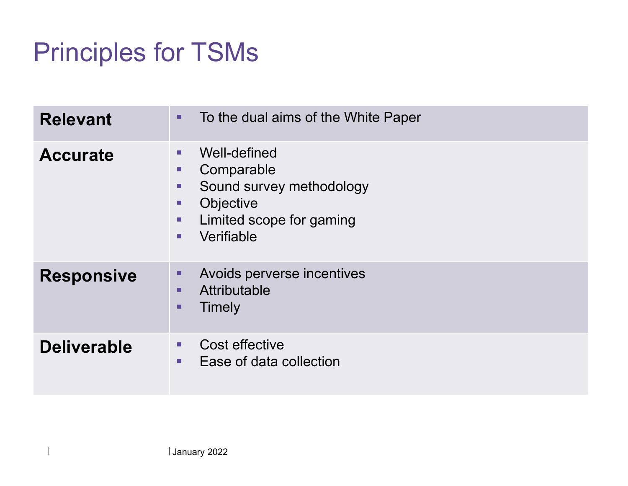## Principles for TSMs

| <b>Relevant</b>    | To the dual aims of the White Paper<br>٠                                                                                                                 |
|--------------------|----------------------------------------------------------------------------------------------------------------------------------------------------------|
| <b>Accurate</b>    | Well-defined<br>п<br>Comparable<br>п<br>Sound survey methodology<br>п<br>Objective<br>п<br>Limited scope for gaming<br>п<br>Verifiable<br>$\blacksquare$ |
| <b>Responsive</b>  | Avoids perverse incentives<br>٠<br>Attributable<br>٠<br>Timely<br>п                                                                                      |
| <b>Deliverable</b> | Cost effective<br>$\blacksquare$<br>Ease of data collection<br>$\blacksquare$                                                                            |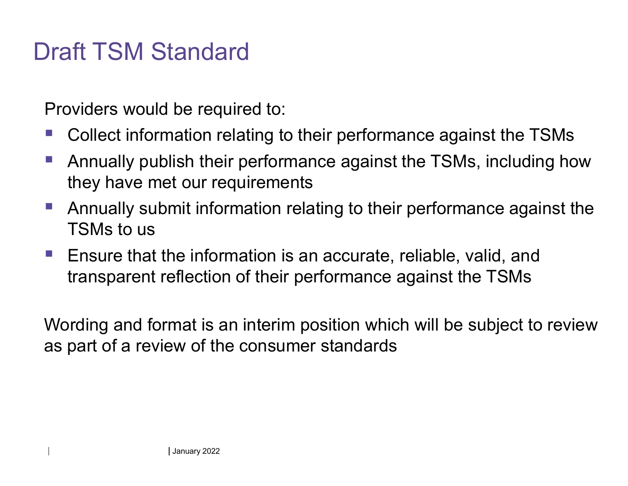#### Draft TSM Standard

Providers would be required to:

- Collect information relating to their performance against the TSMs
- $\mathcal{L}_{\mathcal{A}}$  Annually publish their performance against the TSMs, including how they have met our requirements
- $\mathcal{L}_{\mathcal{A}}$  Annually submit information relating to their performance against the TSMs to us
- Ensure that the information is an accurate, reliable, valid, and transparent reflection of their performance against the TSMs

Wording and format is an interim position which will be subject to review as part of a review of the consumer standards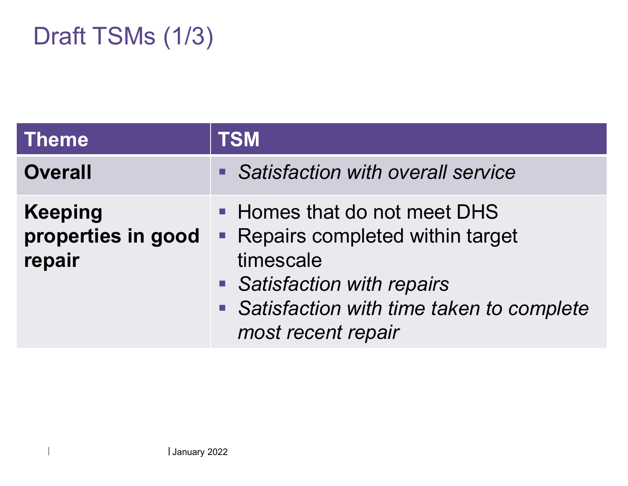#### Draft TSMs (1/3)

| <b>Theme</b>                                   | <b>TSM</b>                                                                                                                                                                      |
|------------------------------------------------|---------------------------------------------------------------------------------------------------------------------------------------------------------------------------------|
| <b>Overall</b>                                 | • Satisfaction with overall service                                                                                                                                             |
| <b>Keeping</b><br>properties in good<br>repair | • Homes that do not meet DHS<br>• Repairs completed within target<br>timescale<br>• Satisfaction with repairs<br>Satisfaction with time taken to complete<br>most recent repair |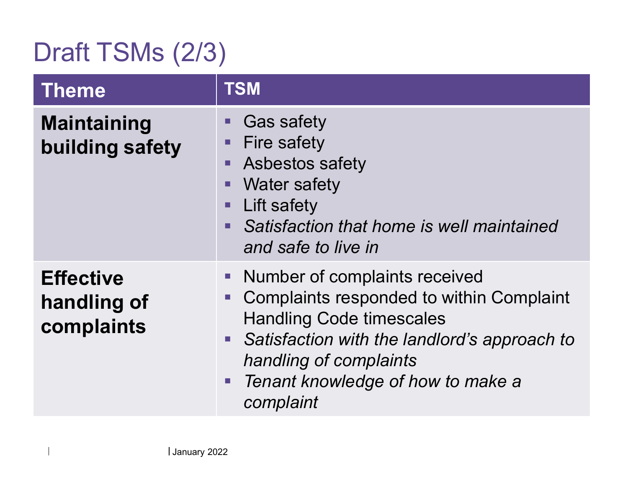## Draft TSMs (2/3)

| <b>Theme</b>                                  | <b>TSM</b>                                                                                                                                                                                                                                                        |
|-----------------------------------------------|-------------------------------------------------------------------------------------------------------------------------------------------------------------------------------------------------------------------------------------------------------------------|
| <b>Maintaining</b><br>building safety         | <b>Gas safety</b><br><b>Fire safety</b><br><b>Asbestos safety</b><br>$\blacksquare$<br><b>Water safety</b><br>Lift safety<br>$\blacksquare$<br>Satisfaction that home is well maintained<br>$\blacksquare$<br>and safe to live in                                 |
| <b>Effective</b><br>handling of<br>complaints | Number of complaints received<br><b>Complaints responded to within Complaint</b><br><b>Handling Code timescales</b><br>Satisfaction with the landlord's approach to<br>$\blacksquare$<br>handling of complaints<br>Tenant knowledge of how to make a<br>complaint |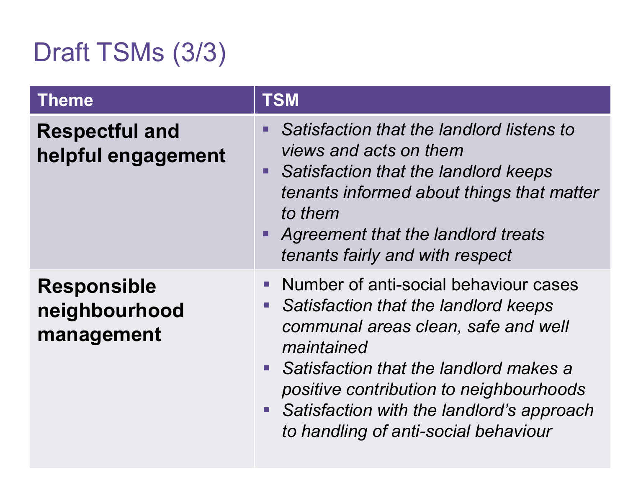## Draft TSMs (3/3)

| <b>Theme</b>                                      | <b>TSM</b>                                                                                                                                                                                                                                                                                                                                                              |
|---------------------------------------------------|-------------------------------------------------------------------------------------------------------------------------------------------------------------------------------------------------------------------------------------------------------------------------------------------------------------------------------------------------------------------------|
| <b>Respectful and</b><br>helpful engagement       | Satisfaction that the landlord listens to<br>$\blacksquare$<br>views and acts on them<br>Satisfaction that the landlord keeps<br>$\blacksquare$<br>tenants informed about things that matter<br>to them<br>Agreement that the landlord treats<br>tenants fairly and with respect                                                                                        |
| <b>Responsible</b><br>neighbourhood<br>management | Number of anti-social behaviour cases<br>Satisfaction that the landlord keeps<br>$\mathcal{L}_{\mathcal{A}}$<br>communal areas clean, safe and well<br>maintained<br>Satisfaction that the landlord makes a<br>$\overline{\phantom{a}}$<br>positive contribution to neighbourhoods<br>Satisfaction with the landlord's approach<br>to handling of anti-social behaviour |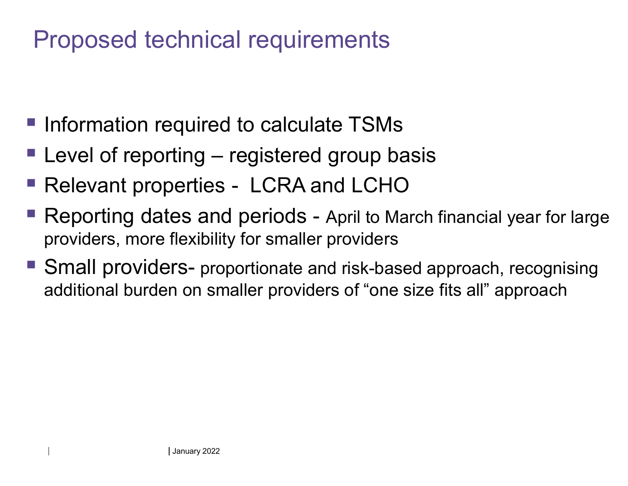#### Proposed technical requirements

- **Information required to calculate TSMs**
- **Level of reporting registered group basis**
- Relevant properties LCRA and LCHO
- Reporting dates and periods April to March financial year for large providers, more flexibility for smaller providers
- Small providers- proportionate and risk-based approach, recognising additional burden on smaller providers of "one size fits all" approach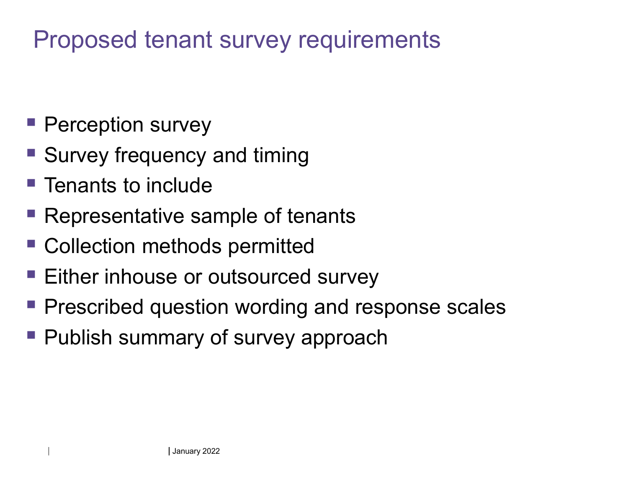#### Proposed tenant survey requirements

- **Perception survey**
- **Survey frequency and timing**
- **Tenants to include**
- **Representative sample of tenants**
- Collection methods permitted
- Either inhouse or outsourced survey
- **Prescribed question wording and response scales**
- **Publish summary of survey approach**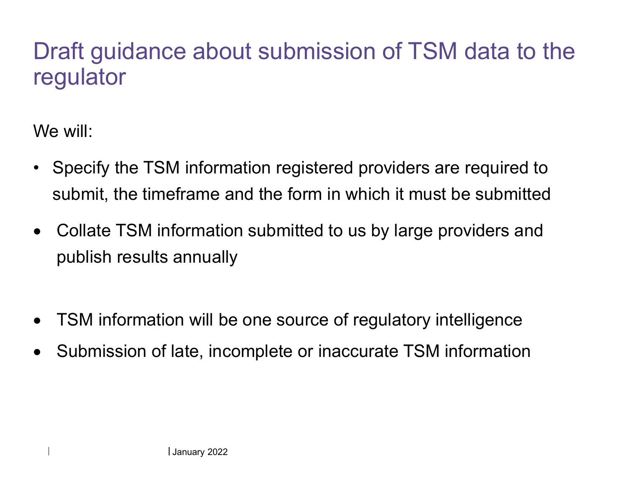#### Draft guidance about submission of TSM data to the regulator

We will:

- • Specify the TSM information registered providers are required to submit, the timeframe and the form in which it must be submitted
- $\bullet$  Collate TSM information submitted to us by large providers and publish results annually
- $\bullet$ TSM information will be one source of regulatory intelligence
- $\bullet$ Submission of late, incomplete or inaccurate TSM information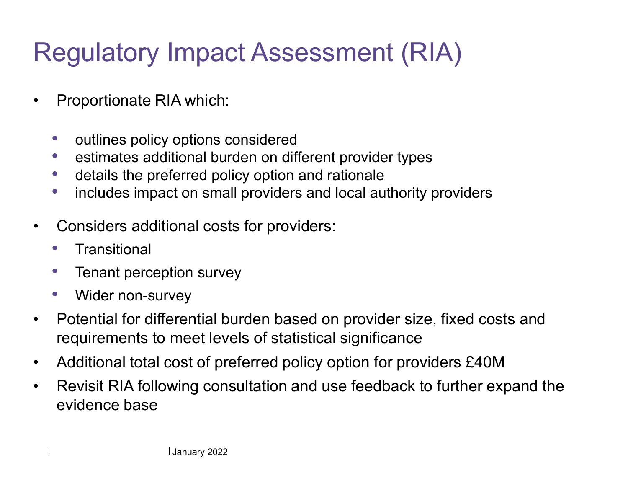## Regulatory Impact Assessment (RIA)

- • Proportionate RIA which:
	- $\bullet$ outlines policy options considered
	- **estimates additional burden on different provider types**  $\bullet$
	- $\bullet$ details the preferred policy option and rationale
	- includes impact on small providers and local authority providers  $\bullet$
- • Considers additional costs for providers:
	- $\bullet$ **Transitional**
	- $\bullet$ Tenant perception survey
	- •Wider non-survey
- • Potential for differential burden based on provider size, fixed costs and requirements to meet levels of statistical significance
- $\bullet$ Additional total cost of preferred policy option for providers £40M
- Revisit RIA following consultation and use feedback to further expand the  $\bullet$ evidence base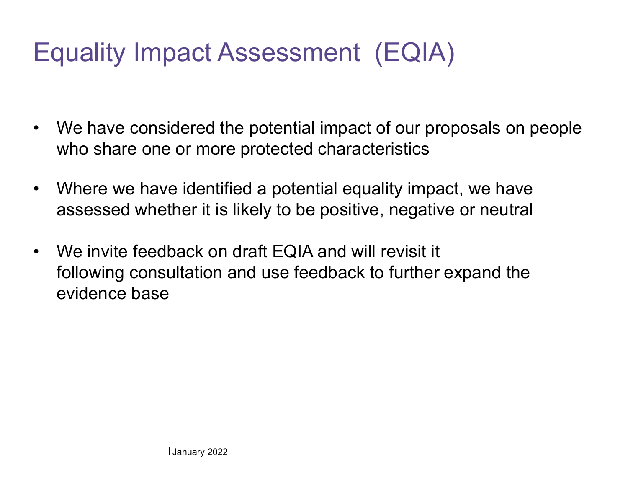## Equality Impact Assessment (EQIA)

- $\bullet$  We have considered the potential impact of our proposals on people who share one or more protected characteristics
- $\bullet$  Where we have identified a potential equality impact, we have assessed whether it is likely to be positive, negative or neutral
- $\bullet$  We invite feedback on draft EQIA and will revisit it following consultation and use feedback to further expand the evidence base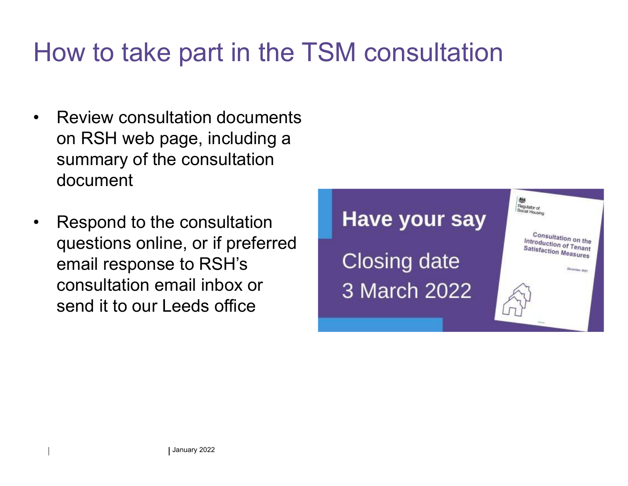## How to take part in the TSM consultation

- • Review consultation documents on RSH web page, including a summary of the consultation document
- • Respond to the consultation questions online, or if preferred email response to RSH's consultation email inbox or send it to our Leeds office